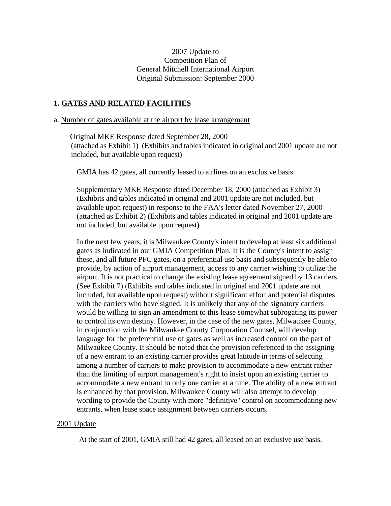# 2007 Update to Competition Plan of General Mitchell International Airport Original Submission: September 2000

# **1. GATES AND RELATED FACILITIES**

#### a. Number of gates available at the airport by lease arrangement

 Original MKE Response dated September 28, 2000 (attached as Exhibit 1) (Exhibits and tables indicated in original and 2001 update are not included, but available upon request)

GMIA has 42 gates, all currently leased to airlines on an exclusive basis.

Supplementary MKE Response dated December 18, 2000 (attached as Exhibit 3) (Exhibits and tables indicated in original and 2001 update are not included, but available upon request) in response to the FAA's letter dated November 27, 2000 (attached as Exhibit 2) (Exhibits and tables indicated in original and 2001 update are not included, but available upon request)

In the next few years, it is Milwaukee County's intent to develop at least six additional gates as indicated in our GMIA Competition Plan. It is the County's intent to assign these, and all future PFC gates, on a preferential use basis and subsequently be able to provide, by action of airport management, access to any carrier wishing to utilize the airport. It is not practical to change the existing lease agreement signed by 13 carriers (See Exhibit 7) (Exhibits and tables indicated in original and 2001 update are not included, but available upon request) without significant effort and potential disputes with the carriers who have signed. It is unlikely that any of the signatory carriers would be willing to sign an amendment to this lease somewhat subrogating its power to control its own destiny. However, in the case of the new gates, Milwaukee County, in conjunction with the Milwaukee County Corporation Counsel, will develop language for the preferential use of gates as well as increased control on the part of Milwaukee County. It should be noted that the provision referenced to the assigning of a new entrant to an existing carrier provides great latitude in terms of selecting among a number of carriers to make provision to accommodate a new entrant rather than the limiting of airport management's right to insist upon an existing carrier to accommodate a new entrant to only one carrier at a tune. The ability of a new entrant is enhanced by that provision. Milwaukee County will also attempt to develop wording to provide the County with more "definitive" control on accommodating new entrants, when lease space assignment between carriers occurs.

#### 2001 Update

At the start of 2001, GMIA still had 42 gates, all leased on an exclusive use basis.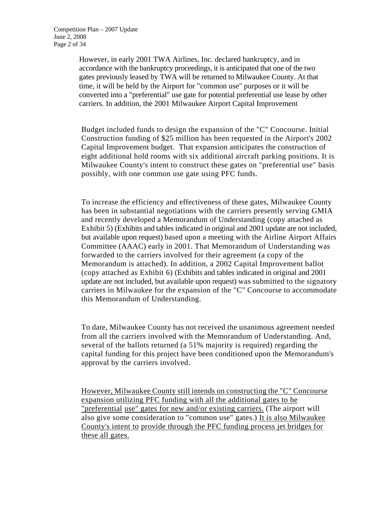However, in early 2001 TWA Airlines, Inc. declared bankruptcy, and in accordance with the bankruptcy proceedings, it is anticipated that one of the two gates previously leased by TWA will be returned to Milwaukee County. At that time, it will be held by the Airport for "common use" purposes or it will be converted into a "preferential" use gate for potential preferential use lease by other carriers. In addition, the 2001 Milwaukee Airport Capital Improvement

Budget included funds to design the expansion of the "C" Concourse. Initial Construction funding of \$25 million has been requested in the Airport's 2002 Capital Improvement budget. That expansion anticipates the construction of eight additional hold rooms with six additional aircraft parking positions. It is Milwaukee County's intent to construct these gates on "preferential use" basis possibly, with one common use gate using PFC funds.

To increase the efficiency and effectiveness of these gates, Milwaukee County has been in substantial negotiations with the carriers presently serving GMIA and recently developed a Memorandum of Understanding (copy attached as Exhibit 5) (Exhibits and tables indicated in original and 2001 update are not included, but available upon request) based upon a meeting with the Airline Airport Affairs Committee (AAAC) early in 2001. That Memorandum of Understanding was forwarded to the carriers involved for their agreement (a copy of the Memorandum is attached). In addition, a 2002 Capital Improvement ballot (copy attached as Exhibit 6) (Exhibits and tables indicated in original and 2001 update are not included, but available upon request) was submitted to the signatory carriers in Milwaukee for the expansion of the "C" Concourse to accommodate this Memorandum of Understanding.

To date, Milwaukee County has not received the unanimous agreement needed from all the carriers involved with the Memorandum of Understanding. And, several of the ballots returned (a 51% majority is required) regarding the capital funding for this project have been conditioned upon the Memorandum's approval by the carriers involved.

However, Milwaukee County still intends on constructing the "C" Concourse expansion utilizing PFC funding with all the additional gates to he "preferential use" gates for new and/or existing carriers. (The airport will also give some consideration to "common use" gates.) It is also Milwaukee County's intent to provide through the PFC funding process jet bridges for these all gates.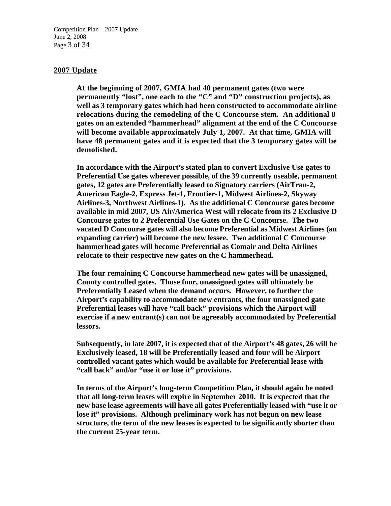Competition Plan – 2007 Update June 2, 2008 Page 3 of 34

#### **2007 Update**

**At the beginning of 2007, GMIA had 40 permanent gates (two were permanently "lost", one each to the "C" and "D" construction projects), as well as 3 temporary gates which had been constructed to accommodate airline relocations during the remodeling of the C Concourse stem. An additional 8 gates on an extended "hammerhead" alignment at the end of the C Concourse will become available approximately July 1, 2007. At that time, GMIA will have 48 permanent gates and it is expected that the 3 temporary gates will be demolished.** 

**In accordance with the Airport's stated plan to convert Exclusive Use gates to Preferential Use gates wherever possible, of the 39 currently useable, permanent gates, 12 gates are Preferentially leased to Signatory carriers (AirTran-2, American Eagle-2, Express Jet-1, Frontier-1, Midwest Airlines-2, Skyway Airlines-3, Northwest Airlines-1). As the additional C Concourse gates become available in mid 2007, US Air/America West will relocate from its 2 Exclusive D Concourse gates to 2 Preferential Use Gates on the C Concourse. The two vacated D Concourse gates will also become Preferential as Midwest Airlines (an expanding carrier) will become the new lessee. Two additional C Concourse hammerhead gates will become Preferential as Comair and Delta Airlines relocate to their respective new gates on the C hammerhead.** 

**The four remaining C Concourse hammerhead new gates will be unassigned, County controlled gates. Those four, unassigned gates will ultimately be Preferentially Leased when the demand occurs. However, to further the Airport's capability to accommodate new entrants, the four unassigned gate Preferential leases will have "call back" provisions which the Airport will exercise if a new entrant(s) can not be agreeably accommodated by Preferential lessors.** 

**Subsequently, in late 2007, it is expected that of the Airport's 48 gates, 26 will be Exclusively leased, 18 will be Preferentially leased and four will be Airport controlled vacant gates which would be available for Preferential lease with "call back" and/or "use it or lose it" provisions.** 

**In terms of the Airport's long-term Competition Plan, it should again be noted that all long-term leases will expire in September 2010. It is expected that the new base lease agreements will have all gates Preferentially leased with "use it or lose it" provisions. Although preliminary work has not begun on new lease structure, the term of the new leases is expected to be significantly shorter than the current 25-year term.**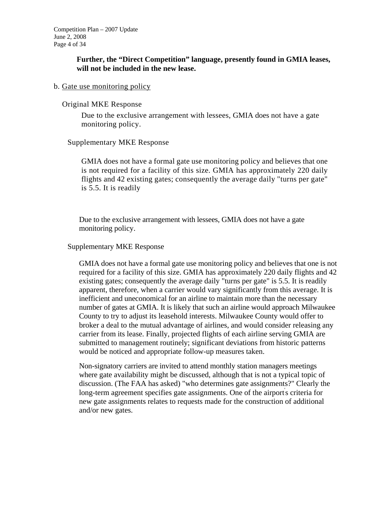# **Further, the "Direct Competition" language, presently found in GMIA leases, will not be included in the new lease.**

# b. Gate use monitoring policy

### Original MKE Response

Due to the exclusive arrangement with lessees, GMIA does not have a gate monitoring policy.

# Supplementary MKE Response

GMIA does not have a formal gate use monitoring policy and believes that one is not required for a facility of this size. GMIA has approximately 220 daily flights and 42 existing gates; consequently the average daily "turns per gate" is 5.5. It is readily

Due to the exclusive arrangement with lessees, GMIA does not have a gate monitoring policy.

### Supplementary MKE Response

GMIA does not have a formal gate use monitoring policy and believes that one is not required for a facility of this size. GMIA has approximately 220 daily flights and 42 existing gates; consequently the average daily "turns per gate" is 5.5. It is readily apparent, therefore, when a carrier would vary significantly from this average. It is inefficient and uneconomical for an airline to maintain more than the necessary number of gates at GMIA. It is likely that such an airline would approach Milwaukee County to try to adjust its leasehold interests. Milwaukee County would offer to broker a deal to the mutual advantage of airlines, and would consider releasing any carrier from its lease. Finally, projected flights of each airline serving GMIA are submitted to management routinely; significant deviations from historic patterns would be noticed and appropriate follow-up measures taken.

Non-signatory carriers are invited to attend monthly station managers meetings where gate availability might be discussed, although that is not a typical topic of discussion. (The FAA has asked) "who determines gate assignments?" Clearly the long-term agreement specifies gate assignments. One of the airport's criteria for new gate assignments relates to requests made for the construction of additional and/or new gates.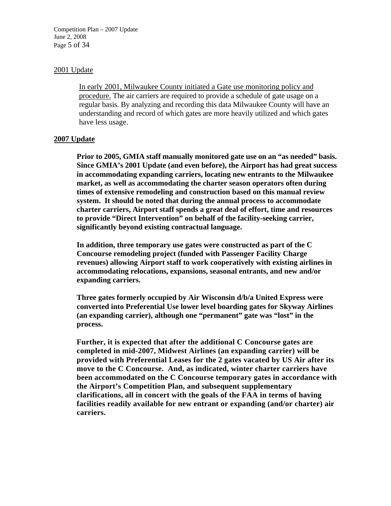Competition Plan – 2007 Update June 2, 2008 Page 5 of 34

#### 2001 Update

In early 2001, Milwaukee County initiated a Gate use monitoring policy and procedure. The air carriers are required to provide a schedule of gate usage on a regular basis. By analyzing and recording this data Milwaukee County will have an understanding and record of which gates are more heavily utilized and which gates have less usage.

### **2007 Update**

**Prior to 2005, GMIA staff manually monitored gate use on an "as needed" basis. Since GMIA's 2001 Update (and even before), the Airport has had great success in accommodating expanding carriers, locating new entrants to the Milwaukee market, as well as accommodating the charter season operators often during times of extensive remodeling and construction based on this manual review system. It should be noted that during the annual process to accommodate charter carriers, Airport staff spends a great deal of effort, time and resources to provide "Direct Intervention" on behalf of the facility-seeking carrier, significantly beyond existing contractual language.** 

**In addition, three temporary use gates were constructed as part of the C Concourse remodeling project (funded with Passenger Facility Charge revenues) allowing Airport staff to work cooperatively with existing airlines in accommodating relocations, expansions, seasonal entrants, and new and/or expanding carriers.** 

**Three gates formerly occupied by Air Wisconsin d/b/a United Express were converted into Preferential Use lower level boarding gates for Skyway Airlines (an expanding carrier), although one "permanent" gate was "lost" in the process.** 

**Further, it is expected that after the additional C Concourse gates are completed in mid-2007, Midwest Airlines (an expanding carrier) will be provided with Preferential Leases for the 2 gates vacated by US Air after its move to the C Concourse. And, as indicated, winter charter carriers have been accommodated on the C Concourse temporary gates in accordance with the Airport's Competition Plan, and subsequent supplementary clarifications, all in concert with the goals of the FAA in terms of having facilities readily available for new entrant or expanding (and/or charter) air carriers.**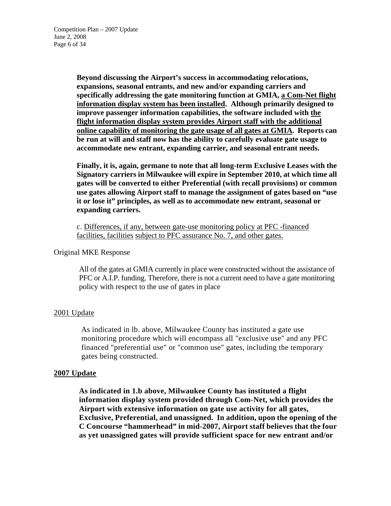**Beyond discussing the Airport's success in accommodating relocations, expansions, seasonal entrants, and new and/or expanding carriers and specifically addressing the gate monitoring function at GMIA, a Com-Net flight information display system has been installed. Although primarily designed to improve passenger information capabilities, the software included with the flight information display system provides Airport staff with the additional online capability of monitoring the gate usage of all gates at GMIA. Reports can be run at will and staff now has the ability to carefully evaluate gate usage to accommodate new entrant, expanding carrier, and seasonal entrant needs.** 

**Finally, it is, again, germane to note that all long-term Exclusive Leases with the Signatory carriers in Milwaukee will expire in September 2010, at which time all gates will be converted to either Preferential (with recall provisions) or common use gates allowing Airport staff to manage the assignment of gates based on "use it or lose it" principles, as well as to accommodate new entrant, seasonal or expanding carriers.** 

c. Differences, if any, between gate-use monitoring policy at PFC -financed facilities, facilities subject to PFC assurance No. 7, and other gates.

### Original MKE Response

All of the gates at GMIA currently in place were constructed without the assistance of PFC or A.I.P. funding. Therefore, there is not a current need to have a gate monitoring policy with respect to the use of gates in place

# 2001 Update

As indicated in lb. above, Milwaukee County has instituted a gate use monitoring procedure which will encompass all "exclusive use" and any PFC financed "preferential use" or "common use" gates, including the temporary gates being constructed.

# **2007 Update**

**As indicated in 1.b above, Milwaukee County has instituted a flight information display system provided through Com-Net, which provides the Airport with extensive information on gate use activity for all gates, Exclusive, Preferential, and unassigned. In addition, upon the opening of the C Concourse "hammerhead" in mid-2007, Airport staff believes that the four as yet unassigned gates will provide sufficient space for new entrant and/or**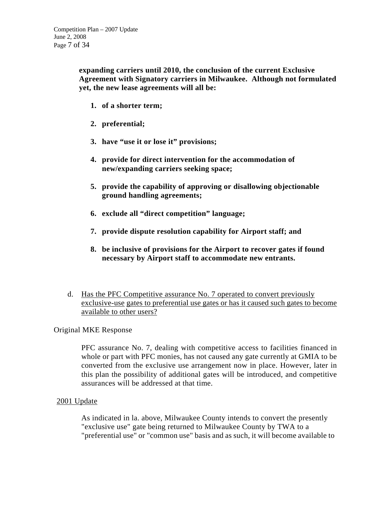**expanding carriers until 2010, the conclusion of the current Exclusive Agreement with Signatory carriers in Milwaukee. Although not formulated yet, the new lease agreements will all be:** 

- **1. of a shorter term;**
- **2. preferential;**
- **3. have "use it or lose it" provisions;**
- **4. provide for direct intervention for the accommodation of new/expanding carriers seeking space;**
- **5. provide the capability of approving or disallowing objectionable ground handling agreements;**
- **6. exclude all "direct competition" language;**
- **7. provide dispute resolution capability for Airport staff; and**
- **8. be inclusive of provisions for the Airport to recover gates if found necessary by Airport staff to accommodate new entrants.**
- d. Has the PFC Competitive assurance No. 7 operated to convert previously exclusive-use gates to preferential use gates or has it caused such gates to become available to other users?

# Original MKE Response

PFC assurance No. 7, dealing with competitive access to facilities financed in whole or part with PFC monies, has not caused any gate currently at GMIA to be converted from the exclusive use arrangement now in place. However, later in this plan the possibility of additional gates will be introduced, and competitive assurances will be addressed at that time.

# 2001 Update

As indicated in la. above, Milwaukee County intends to convert the presently "exclusive use" gate being returned to Milwaukee County by TWA to a "preferential use" or "common use" basis and as such, it will become available to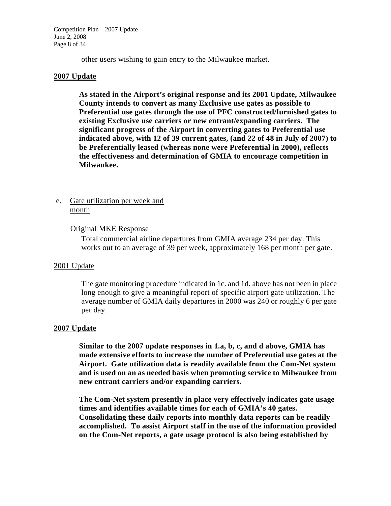Competition Plan – 2007 Update June 2, 2008 Page 8 of 34

other users wishing to gain entry to the Milwaukee market.

### **2007 Update**

**As stated in the Airport's original response and its 2001 Update, Milwaukee County intends to convert as many Exclusive use gates as possible to Preferential use gates through the use of PFC constructed/furnished gates to existing Exclusive use carriers or new entrant/expanding carriers. The significant progress of the Airport in converting gates to Preferential use indicated above, with 12 of 39 current gates, (and 22 of 48 in July of 2007) to be Preferentially leased (whereas none were Preferential in 2000), reflects the effectiveness and determination of GMIA to encourage competition in Milwaukee.** 

# e. Gate utilization per week and month

### Original MKE Response

Total commercial airline departures from GMIA average 234 per day. This works out to an average of 39 per week, approximately 168 per month per gate.

#### 2001 Update

The gate monitoring procedure indicated in 1c. and 1d. above has not been in place long enough to give a meaningful report of specific airport gate utilization. The average number of GMIA daily departures in 2000 was 240 or roughly 6 per gate per day.

#### **2007 Update**

**Similar to the 2007 update responses in 1.a, b, c, and d above, GMIA has made extensive efforts to increase the number of Preferential use gates at the Airport. Gate utilization data is readily available from the Com-Net system and is used on an as needed basis when promoting service to Milwaukee from new entrant carriers and/or expanding carriers.** 

 **The Com-Net system presently in place very effectively indicates gate usage times and identifies available times for each of GMIA's 40 gates. Consolidating these daily reports into monthly data reports can be readily accomplished. To assist Airport staff in the use of the information provided on the Com-Net reports, a gate usage protocol is also being established by**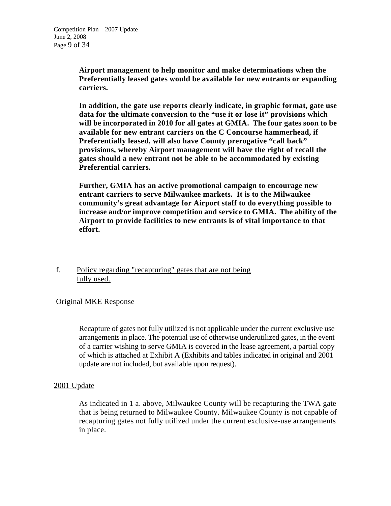**Airport management to help monitor and make determinations when the Preferentially leased gates would be available for new entrants or expanding carriers.** 

 **In addition, the gate use reports clearly indicate, in graphic format, gate use data for the ultimate conversion to the "use it or lose it" provisions which will be incorporated in 2010 for all gates at GMIA. The four gates soon to be available for new entrant carriers on the C Concourse hammerhead, if Preferentially leased, will also have County prerogative "call back" provisions, whereby Airport management will have the right of recall the gates should a new entrant not be able to be accommodated by existing Preferential carriers.** 

 **Further, GMIA has an active promotional campaign to encourage new entrant carriers to serve Milwaukee markets. It is to the Milwaukee community's great advantage for Airport staff to do everything possible to increase and/or improve competition and service to GMIA. The ability of the Airport to provide facilities to new entrants is of vital importance to that effort.** 

f. Policy regarding "recapturing" gates that are not being fully used.

# Original MKE Response

Recapture of gates not fully utilized is not applicable under the current exclusive use arrangements in place. The potential use of otherwise underutilized gates, in the event of a carrier wishing to serve GMIA is covered in the lease agreement, a partial copy of which is attached at Exhibit A (Exhibits and tables indicated in original and 2001 update are not included, but available upon request).

# 2001 Update

As indicated in 1 a. above, Milwaukee County will be recapturing the TWA gate that is being returned to Milwaukee County. Milwaukee County is not capable of recapturing gates not fully utilized under the current exclusive-use arrangements in place.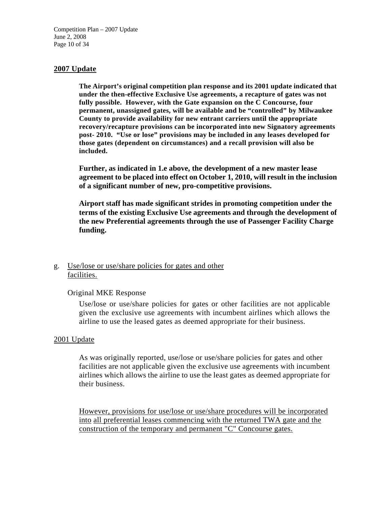Competition Plan – 2007 Update June 2, 2008 Page 10 of 34

### **2007 Update**

**The Airport's original competition plan response and its 2001 update indicated that under the then-effective Exclusive Use agreements, a recapture of gates was not fully possible. However, with the Gate expansion on the C Concourse, four permanent, unassigned gates, will be available and be "controlled" by Milwaukee County to provide availability for new entrant carriers until the appropriate recovery/recapture provisions can be incorporated into new Signatory agreements post- 2010. "Use or lose" provisions may be included in any leases developed for those gates (dependent on circumstances) and a recall provision will also be included.** 

**Further, as indicated in 1.e above, the development of a new master lease agreement to be placed into effect on October 1, 2010, will result in the inclusion of a significant number of new, pro-competitive provisions.** 

**Airport staff has made significant strides in promoting competition under the terms of the existing Exclusive Use agreements and through the development of the new Preferential agreements through the use of Passenger Facility Charge funding.** 

# g. Use/lose or use/share policies for gates and other facilities.

#### Original MKE Response

Use/lose or use/share policies for gates or other facilities are not applicable given the exclusive use agreements with incumbent airlines which allows the airline to use the leased gates as deemed appropriate for their business.

#### 2001 Update

As was originally reported, use/lose or use/share policies for gates and other facilities are not applicable given the exclusive use agreements with incumbent airlines which allows the airline to use the least gates as deemed appropriate for their business.

However, provisions for use/lose or use/share procedures will be incorporated into all preferential leases commencing with the returned TWA gate and the construction of the temporary and permanent "C" Concourse gates.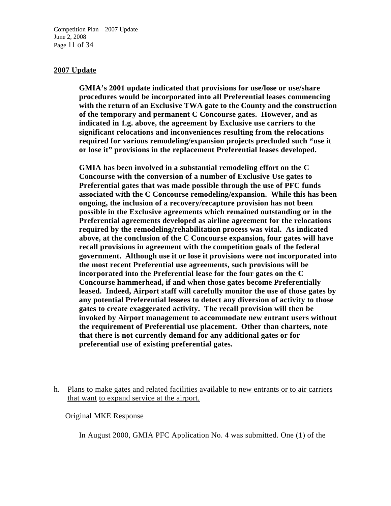Competition Plan – 2007 Update June 2, 2008 Page 11 of 34

#### **2007 Update**

**GMIA's 2001 update indicated that provisions for use/lose or use/share procedures would be incorporated into all Preferential leases commencing with the return of an Exclusive TWA gate to the County and the construction of the temporary and permanent C Concourse gates. However, and as indicated in 1.g. above, the agreement by Exclusive use carriers to the significant relocations and inconveniences resulting from the relocations required for various remodeling/expansion projects precluded such "use it or lose it" provisions in the replacement Preferential leases developed.** 

**GMIA has been involved in a substantial remodeling effort on the C Concourse with the conversion of a number of Exclusive Use gates to Preferential gates that was made possible through the use of PFC funds associated with the C Concourse remodeling/expansion. While this has been ongoing, the inclusion of a recovery/recapture provision has not been possible in the Exclusive agreements which remained outstanding or in the Preferential agreements developed as airline agreement for the relocations required by the remodeling/rehabilitation process was vital. As indicated above, at the conclusion of the C Concourse expansion, four gates will have recall provisions in agreement with the competition goals of the federal government. Although use it or lose it provisions were not incorporated into the most recent Preferential use agreements, such provisions will be incorporated into the Preferential lease for the four gates on the C Concourse hammerhead, if and when those gates become Preferentially leased. Indeed, Airport staff will carefully monitor the use of those gates by any potential Preferential lessees to detect any diversion of activity to those gates to create exaggerated activity. The recall provision will then be invoked by Airport management to accommodate new entrant users without the requirement of Preferential use placement. Other than charters, note that there is not currently demand for any additional gates or for preferential use of existing preferential gates.** 

h. Plans to make gates and related facilities available to new entrants or to air carriers that want to expand service at the airport.

Original MKE Response

In August 2000, GMIA PFC Application No. 4 was submitted. One (1) of the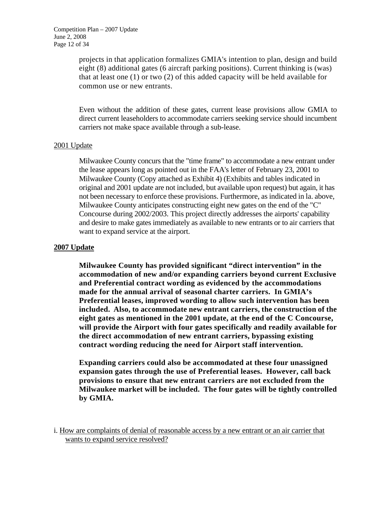projects in that application formalizes GMIA's intention to plan, design and build eight (8) additional gates (6 aircraft parking positions). Current thinking is (was) that at least one (1) or two (2) of this added capacity will be held available for common use or new entrants.

Even without the addition of these gates, current lease provisions allow GMIA to direct current leaseholders to accommodate carriers seeking service should incumbent carriers not make space available through a sub-lease.

# 2001 Update

Milwaukee County concurs that the "time frame" to accommodate a new entrant under the lease appears long as pointed out in the FAA's letter of February 23, 2001 to Milwaukee County (Copy attached as Exhibit 4) (Exhibits and tables indicated in original and 2001 update are not included, but available upon request) but again, it has not been necessary to enforce these provisions. Furthermore, as indicated in la. above, Milwaukee County anticipates constructing eight new gates on the end of the "C" Concourse during 2002/2003. This project directly addresses the airports' capability and desire to make gates immediately as available to new entrants or to air carriers that want to expand service at the airport.

# **2007 Update**

**Milwaukee County has provided significant "direct intervention" in the accommodation of new and/or expanding carriers beyond current Exclusive and Preferential contract wording as evidenced by the accommodations made for the annual arrival of seasonal charter carriers. In GMIA's Preferential leases, improved wording to allow such intervention has been included. Also, to accommodate new entrant carriers, the construction of the eight gates as mentioned in the 2001 update, at the end of the C Concourse, will provide the Airport with four gates specifically and readily available for the direct accommodation of new entrant carriers, bypassing existing contract wording reducing the need for Airport staff intervention.** 

 **Expanding carriers could also be accommodated at these four unassigned expansion gates through the use of Preferential leases. However, call back provisions to ensure that new entrant carriers are not excluded from the Milwaukee market will be included. The four gates will be tightly controlled by GMIA.** 

i. How are complaints of denial of reasonable access by a new entrant or an air carrier that wants to expand service resolved?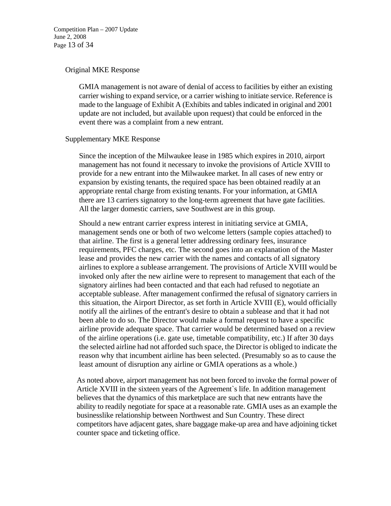Competition Plan – 2007 Update June 2, 2008 Page 13 of 34

#### Original MKE Response

GMIA management is not aware of denial of access to facilities by either an existing carrier wishing to expand service, or a carrier wishing to initiate service. Reference is made to the language of Exhibit A (Exhibits and tables indicated in original and 2001 update are not included, but available upon request) that could be enforced in the event there was a complaint from a new entrant.

### Supplementary MKE Response

Since the inception of the Milwaukee lease in 1985 which expires in 2010, airport management has not found it necessary to invoke the provisions of Article XVIII to provide for a new entrant into the Milwaukee market. In all cases of new entry or expansion by existing tenants, the required space has been obtained readily at an appropriate rental charge from existing tenants. For your information, at GMIA there are 13 carriers signatory to the long-term agreement that have gate facilities. All the larger domestic carriers, save Southwest are in this group.

Should a new entrant carrier express interest in initiating service at GMIA, management sends one or both of two welcome letters (sample copies attached) to that airline. The first is a general letter addressing ordinary fees, insurance requirements, PFC charges, etc. The second goes into an explanation of the Master lease and provides the new carrier with the names and contacts of all signatory airlines to explore a sublease arrangement. The provisions of Article XVIII would be invoked only after the new airline were to represent to management that each of the signatory airlines had been contacted and that each had refused to negotiate an acceptable sublease. After management confirmed the refusal of signatory carriers in this situation, the Airport Director, as set forth in Article XVIII (E), would officially notify all the airlines of the entrant's desire to obtain a sublease and that it had not been able to do so. The Director would make a formal request to have a specific airline provide adequate space. That carrier would be determined based on a review of the airline operations (i.e. gate use, timetable compatibility, etc.) If after 30 days the selected airline had not afforded such space, the Director is obliged to indicate the reason why that incumbent airline has been selected. (Presumably so as to cause the least amount of disruption any airline or GMIA operations as a whole.)

As noted above, airport management has not been forced to invoke the formal power of Article XVIII in the sixteen years of the Agreement`s life. In addition management believes that the dynamics of this marketplace are such that new entrants have the ability to readily negotiate for space at a reasonable rate. GMIA uses as an example the businesslike relationship between Northwest and Sun Country. These direct competitors have adjacent gates, share baggage make-up area and have adjoining ticket counter space and ticketing office.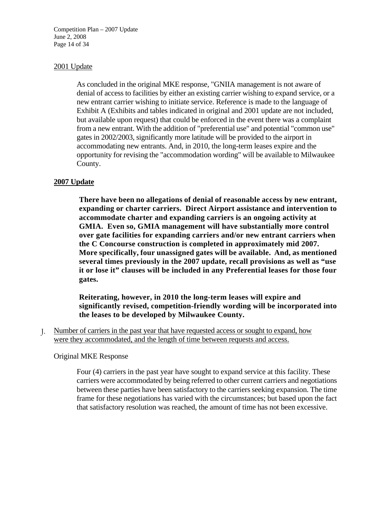Competition Plan – 2007 Update June 2, 2008 Page 14 of 34

# 2001 Update

As concluded in the original MKE response, "GNIIA management is not aware of denial of access to facilities by either an existing carrier wishing to expand service, or a new entrant carrier wishing to initiate service. Reference is made to the language of Exhibit A (Exhibits and tables indicated in original and 2001 update are not included, but available upon request) that could be enforced in the event there was a complaint from a new entrant. With the addition of "preferential use" and potential "common use" gates in 2002/2003, significantly more latitude will be provided to the airport in accommodating new entrants. And, in 2010, the long-term leases expire and the opportunity for revising the "accommodation wording" will be available to Milwaukee County.

### **2007 Update**

**There have been no allegations of denial of reasonable access by new entrant, expanding or charter carriers. Direct Airport assistance and intervention to accommodate charter and expanding carriers is an ongoing activity at GMIA. Even so, GMIA management will have substantially more control over gate facilities for expanding carriers and/or new entrant carriers when the C Concourse construction is completed in approximately mid 2007. More specifically, four unassigned gates will be available. And, as mentioned several times previously in the 2007 update, recall provisions as well as "use it or lose it" clauses will be included in any Preferential leases for those four gates.** 

**Reiterating, however, in 2010 the long-term leases will expire and significantly revised, competition-friendly wording will be incorporated into the leases to be developed by Milwaukee County.** 

J. Number of carriers in the past year that have requested access or sought to expand, how were they accommodated, and the length of time between requests and access.

#### Original MKE Response

Four (4) carriers in the past year have sought to expand service at this facility. These carriers were accommodated by being referred to other current carriers and negotiations between these parties have been satisfactory to the carriers seeking expansion. The time frame for these negotiations has varied with the circumstances; but based upon the fact that satisfactory resolution was reached, the amount of time has not been excessive.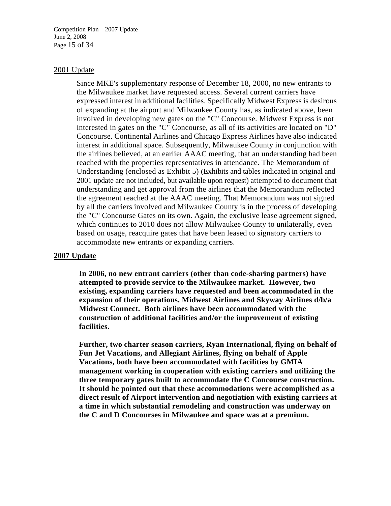Competition Plan – 2007 Update June 2, 2008 Page 15 of 34

#### 2001 Update

Since MKE's supplementary response of December 18, 2000, no new entrants to the Milwaukee market have requested access. Several current carriers have expressed interest in additional facilities. Specifically Midwest Express is desirous of expanding at the airport and Milwaukee County has, as indicated above, been involved in developing new gates on the "C" Concourse. Midwest Express is not interested in gates on the "C" Concourse, as all of its activities are located on "D" Concourse. Continental Airlines and Chicago Express Airlines have also indicated interest in additional space. Subsequently, Milwaukee County in conjunction with the airlines believed, at an earlier AAAC meeting, that an understanding had been reached with the properties representatives in attendance. The Memorandum of Understanding (enclosed as Exhibit 5) (Exhibits and tables indicated in original and 2001 update are not included, but available upon request) attempted to document that understanding and get approval from the airlines that the Memorandum reflected the agreement reached at the AAAC meeting. That Memorandum was not signed by all the carriers involved and Milwaukee County is in the process of developing the "C" Concourse Gates on its own. Again, the exclusive lease agreement signed, which continues to 2010 does not allow Milwaukee County to unilaterally, even based on usage, reacquire gates that have been leased to signatory carriers to accommodate new entrants or expanding carriers.

#### **2007 Update**

**In 2006, no new entrant carriers (other than code-sharing partners) have attempted to provide service to the Milwaukee market. However, two existing, expanding carriers have requested and been accommodated in the expansion of their operations, Midwest Airlines and Skyway Airlines d/b/a Midwest Connect. Both airlines have been accommodated with the construction of additional facilities and/or the improvement of existing facilities.** 

 **Further, two charter season carriers, Ryan International, flying on behalf of Fun Jet Vacations, and Allegiant Airlines, flying on behalf of Apple Vacations, both have been accommodated with facilities by GMIA management working in cooperation with existing carriers and utilizing the three temporary gates built to accommodate the C Concourse construction. It should be pointed out that these accommodations were accomplished as a direct result of Airport intervention and negotiation with existing carriers at a time in which substantial remodeling and construction was underway on the C and D Concourses in Milwaukee and space was at a premium.**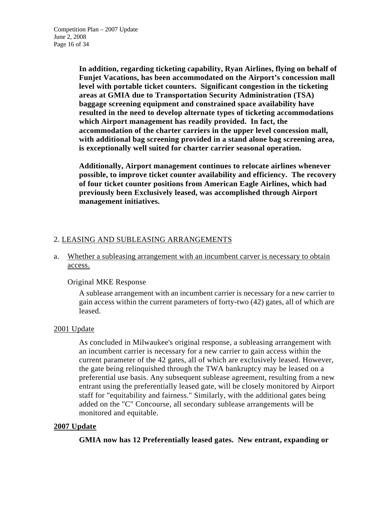**In addition, regarding ticketing capability, Ryan Airlines, flying on behalf of Funjet Vacations, has been accommodated on the Airport's concession mall level with portable ticket counters. Significant congestion in the ticketing areas at GMIA due to Transportation Security Administration (TSA) baggage screening equipment and constrained space availability have resulted in the need to develop alternate types of ticketing accommodations which Airport management has readily provided. In fact, the accommodation of the charter carriers in the upper level concession mall, with additional bag screening provided in a stand alone bag screening area, is exceptionally well suited for charter carrier seasonal operation.** 

 **Additionally, Airport management continues to relocate airlines whenever possible, to improve ticket counter availability and efficiency. The recovery of four ticket counter positions from American Eagle Airlines, which had previously been Exclusively leased, was accomplished through Airport management initiatives.** 

# 2. LEASING AND SUBLEASING ARRANGEMENTS

# a. Whether a subleasing arrangement with an incumbent carver is necessary to obtain access.

# Original MKE Response

A sublease arrangement with an incumbent carrier is necessary for a new carrier to gain access within the current parameters of forty-two (42) gates, all of which are leased.

# 2001 Update

As concluded in Milwaukee's original response, a subleasing arrangement with an incumbent carrier is necessary for a new carrier to gain access within the current parameter of the 42 gates, all of which are exclusively leased. However, the gate being relinquished through the TWA bankruptcy may be leased on a preferential use basis. Any subsequent sublease agreement, resulting from a new entrant using the preferentially leased gate, will be closely monitored by Airport staff for "equitability and fairness." Similarly, with the additional gates being added on the "C" Concourse, all secondary sublease arrangements will be monitored and equitable.

# **2007 Update**

**GMIA now has 12 Preferentially leased gates. New entrant, expanding or**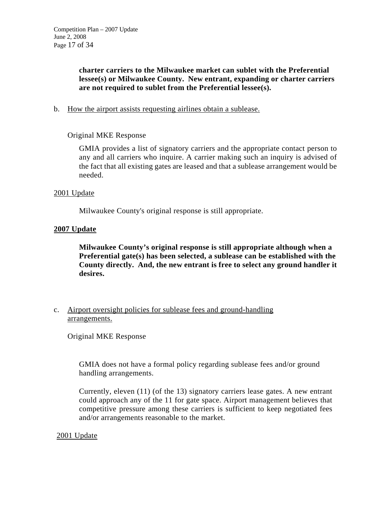**charter carriers to the Milwaukee market can sublet with the Preferential lessee(s) or Milwaukee County. New entrant, expanding or charter carriers are not required to sublet from the Preferential lessee(s).** 

b. How the airport assists requesting airlines obtain a sublease.

# Original MKE Response

GMIA provides a list of signatory carriers and the appropriate contact person to any and all carriers who inquire. A carrier making such an inquiry is advised of the fact that all existing gates are leased and that a sublease arrangement would be needed.

# 2001 Update

Milwaukee County's original response is still appropriate.

# **2007 Update**

**Milwaukee County's original response is still appropriate although when a Preferential gate(s) has been selected, a sublease can be established with the County directly. And, the new entrant is free to select any ground handler it desires.** 

c. Airport oversight policies for sublease fees and ground-handling arrangements.

Original MKE Response

GMIA does not have a formal policy regarding sublease fees and/or ground handling arrangements.

Currently, eleven (11) (of the 13) signatory carriers lease gates. A new entrant could approach any of the 11 for gate space. Airport management believes that competitive pressure among these carriers is sufficient to keep negotiated fees and/or arrangements reasonable to the market.

# 2001 Update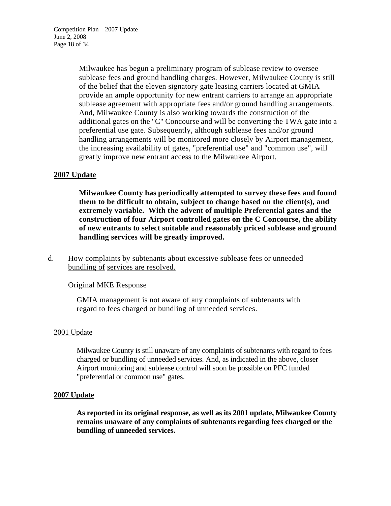Milwaukee has begun a preliminary program of sublease review to oversee sublease fees and ground handling charges. However, Milwaukee County is still of the belief that the eleven signatory gate leasing carriers located at GMIA provide an ample opportunity for new entrant carriers to arrange an appropriate sublease agreement with appropriate fees and/or ground handling arrangements. And, Milwaukee County is also working towards the construction of the additional gates on the "C" Concourse and will be converting the TWA gate into a preferential use gate. Subsequently, although sublease fees and/or ground handling arrangements will be monitored more closely by Airport management, the increasing availability of gates, "preferential use" and "common use", will greatly improve new entrant access to the Milwaukee Airport.

# **2007 Update**

**Milwaukee County has periodically attempted to survey these fees and found them to be difficult to obtain, subject to change based on the client(s), and extremely variable. With the advent of multiple Preferential gates and the construction of four Airport controlled gates on the C Concourse, the ability of new entrants to select suitable and reasonably priced sublease and ground handling services will be greatly improved.** 

# d. How complaints by subtenants about excessive sublease fees or unneeded bundling of services are resolved.

# Original MKE Response

GMIA management is not aware of any complaints of subtenants with regard to fees charged or bundling of unneeded services.

# 2001 Update

Milwaukee County is still unaware of any complaints of subtenants with regard to fees charged or bundling of unneeded services. And, as indicated in the above, closer Airport monitoring and sublease control will soon be possible on PFC funded "preferential or common use" gates.

# **2007 Update**

**As reported in its original response, as well as its 2001 update, Milwaukee County remains unaware of any complaints of subtenants regarding fees charged or the bundling of unneeded services.**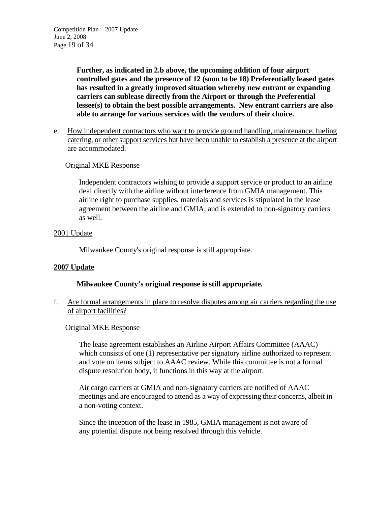**Further, as indicated in 2.b above, the upcoming addition of four airport controlled gates and the presence of 12 (soon to be 18) Preferentially leased gates has resulted in a greatly improved situation whereby new entrant or expanding carriers can sublease directly from the Airport or through the Preferential lessee(s) to obtain the best possible arrangements. New entrant carriers are also able to arrange for various services with the vendors of their choice.** 

e. How independent contractors who want to provide ground handling, maintenance, fueling catering, or other support services but have been unable to establish a presence at the airport are accommodated.

# Original MKE Response

Independent contractors wishing to provide a support service or product to an airline deal directly with the airline without interference from GMIA management. This airline right to purchase supplies, materials and services is stipulated in the lease agreement between the airline and GMIA; and is extended to non-signatory carriers as well.

# 2001 Update

Milwaukee County's original response is still appropriate.

# **2007 Update**

# **Milwaukee County's original response is still appropriate.**

f. Are formal arrangements in place to resolve disputes among air carriers regarding the use of airport facilities?

# Original MKE Response

The lease agreement establishes an Airline Airport Affairs Committee (AAAC) which consists of one (1) representative per signatory airline authorized to represent and vote on items subject to AAAC review. While this committee is not a formal dispute resolution body, it functions in this way at the airport.

Air cargo carriers at GMIA and non-signatory carriers are notified of AAAC meetings and are encouraged to attend as a way of expressing their concerns, albeit in a non-voting context.

Since the inception of the lease in 1985, GMIA management is not aware of any potential dispute not being resolved through this vehicle.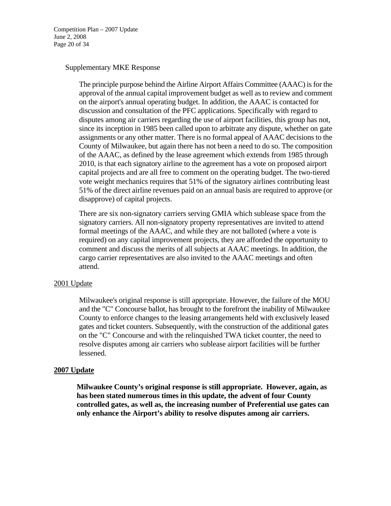Competition Plan – 2007 Update June 2, 2008 Page 20 of 34

#### Supplementary MKE Response

The principle purpose behind the Airline Airport Affairs Committee (AAAC) is for the approval of the annual capital improvement budget as well as to review and comment on the airport's annual operating budget. In addition, the AAAC is contacted for discussion and consultation of the PFC applications. Specifically with regard to disputes among air carriers regarding the use of airport facilities, this group has not, since its inception in 1985 been called upon to arbitrate any dispute, whether on gate assignments or any other matter. There is no formal appeal of AAAC decisions to the County of Milwaukee, but again there has not been a need to do so. The composition of the AAAC, as defined by the lease agreement which extends from 1985 through 2010, is that each signatory airline to the agreement has a vote on proposed airport capital projects and are all free to comment on the operating budget. The two-tiered vote weight mechanics requires that 51% of the signatory airlines contributing least 51% of the direct airline revenues paid on an annual basis are required to approve (or disapprove) of capital projects.

There are six non-signatory carriers serving GMIA which sublease space from the signatory carriers. All non-signatory property representatives are invited to attend formal meetings of the AAAC, and while they are not balloted (where a vote is required) on any capital improvement projects, they are afforded the opportunity to comment and discuss the merits of all subjects at AAAC meetings. In addition, the cargo carrier representatives are also invited to the AAAC meetings and often attend.

#### 2001 Update

Milwaukee's original response is still appropriate. However, the failure of the MOU and the "C" Concourse ballot, has brought to the forefront the inability of Milwaukee County to enforce changes to the leasing arrangements held with exclusively leased gates and ticket counters. Subsequently, with the construction of the additional gates on the "C" Concourse and with the relinquished TWA ticket counter, the need to resolve disputes among air carriers who sublease airport facilities will be further lessened.

### **2007 Update**

**Milwaukee County's original response is still appropriate. However, again, as has been stated numerous times in this update, the advent of four County controlled gates, as well as, the increasing number of Preferential use gates can only enhance the Airport's ability to resolve disputes among air carriers.**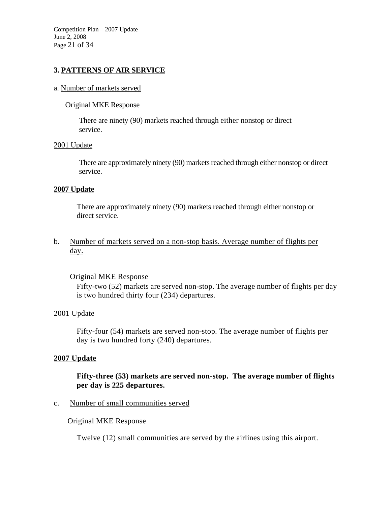Competition Plan – 2007 Update June 2, 2008 Page 21 of 34

# **3. PATTERNS OF AIR SERVICE**

#### a. Number of markets served

#### Original MKE Response

There are ninety (90) markets reached through either nonstop or direct service.

#### 2001 Update

There are approximately ninety (90) markets reached through either nonstop or direct service.

#### **2007 Update**

There are approximately ninety (90) markets reached through either nonstop or direct service.

b. Number of markets served on a non-stop basis. Average number of flights per day.

#### Original MKE Response

Fifty-two (52) markets are served non-stop. The average number of flights per day is two hundred thirty four (234) departures.

#### 2001 Update

Fifty-four (54) markets are served non-stop. The average number of flights per day is two hundred forty (240) departures.

### **2007 Update**

**Fifty-three (53) markets are served non-stop. The average number of flights per day is 225 departures.** 

#### c. Number of small communities served

Original MKE Response

Twelve (12) small communities are served by the airlines using this airport.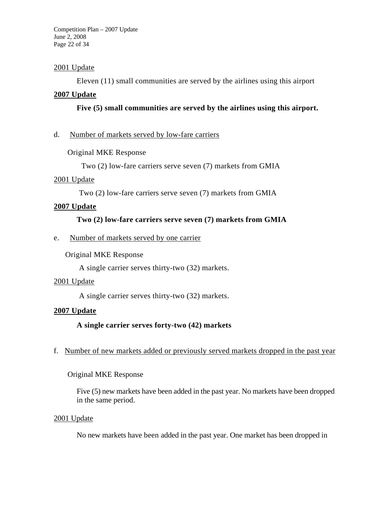Competition Plan – 2007 Update June 2, 2008 Page 22 of 34

# 2001 Update

Eleven (11) small communities are served by the airlines using this airport

# **2007 Update**

# **Five (5) small communities are served by the airlines using this airport.**

# d. Number of markets served by low-fare carriers

# Original MKE Response

Two (2) low-fare carriers serve seven (7) markets from GMIA

# 2001 Update

Two (2) low-fare carriers serve seven (7) markets from GMIA

# **2007 Update**

# **Two (2) low-fare carriers serve seven (7) markets from GMIA**

e. Number of markets served by one carrier

# Original MKE Response

A single carrier serves thirty-two (32) markets.

# 2001 Update

A single carrier serves thirty-two (32) markets.

# **2007 Update**

 **A single carrier serves forty-two (42) markets** 

# f. Number of new markets added or previously served markets dropped in the past year

# Original MKE Response

Five (5) new markets have been added in the past year. No markets have been dropped in the same period.

# 2001 Update

No new markets have been added in the past year. One market has been dropped in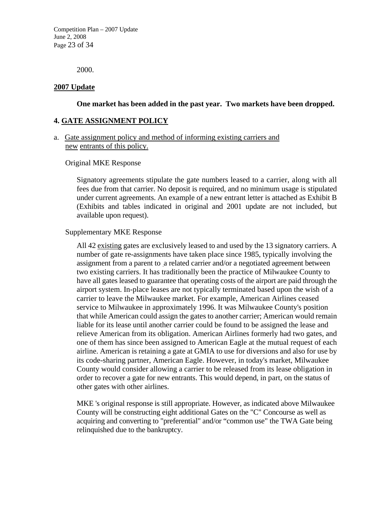Competition Plan – 2007 Update June 2, 2008 Page 23 of 34

2000.

### **2007 Update**

### **One market has been added in the past year. Two markets have been dropped.**

### **4. GATE ASSIGNMENT POLICY**

### a. Gate assignment policy and method of informing existing carriers and new entrants of this policy.

#### Original MKE Response

Signatory agreements stipulate the gate numbers leased to a carrier, along with all fees due from that carrier. No deposit is required, and no minimum usage is stipulated under current agreements. An example of a new entrant letter is attached as Exhibit B (Exhibits and tables indicated in original and 2001 update are not included, but available upon request).

#### Supplementary MKE Response

All 42 existing gates are exclusively leased to and used by the 13 signatory carriers. A number of gate re-assignments have taken place since 1985, typically involving the assignment from a parent to .a related carrier and/or a negotiated agreement between two existing carriers. It has traditionally been the practice of Milwaukee County to have all gates leased to guarantee that operating costs of the airport are paid through the airport system. In-place leases are not typically terminated based upon the wish of a carrier to leave the Milwaukee market. For example, American Airlines ceased service to Milwaukee in approximately 1996. It was Milwaukee County's position that while American could assign the gates to another carrier; American would remain liable for its lease until another carrier could be found to be assigned the lease and relieve American from its obligation. American Airlines formerly had two gates, and one of them has since been assigned to American Eagle at the mutual request of each airline. American is retaining a gate at GMIA to use for diversions and also for use by its code-sharing partner, American Eagle. However, in today's market, Milwaukee County would consider allowing a carrier to be released from its lease obligation in order to recover a gate for new entrants. This would depend, in part, on the status of other gates with other airlines.

MKE 's original response is still appropriate. However, as indicated above Milwaukee County will be constructing eight additional Gates on the "C" Concourse as well as acquiring and converting to "preferential" and/or "common use" the TWA Gate being relinquished due to the bankruptcy.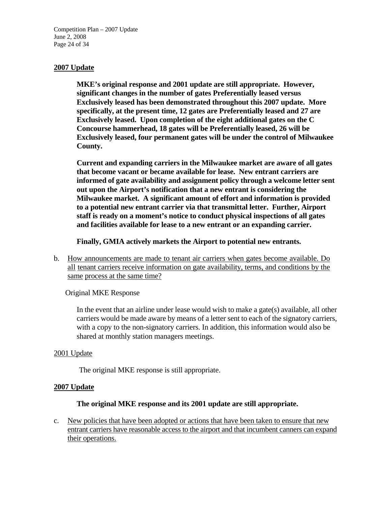Competition Plan – 2007 Update June 2, 2008 Page 24 of 34

# **2007 Update**

**MKE's original response and 2001 update are still appropriate. However, significant changes in the number of gates Preferentially leased versus Exclusively leased has been demonstrated throughout this 2007 update. More specifically, at the present time, 12 gates are Preferentially leased and 27 are Exclusively leased. Upon completion of the eight additional gates on the C Concourse hammerhead, 18 gates will be Preferentially leased, 26 will be Exclusively leased, four permanent gates will be under the control of Milwaukee County.** 

**Current and expanding carriers in the Milwaukee market are aware of all gates that become vacant or became available for lease. New entrant carriers are informed of gate availability and assignment policy through a welcome letter sent out upon the Airport's notification that a new entrant is considering the Milwaukee market. A significant amount of effort and information is provided to a potential new entrant carrier via that transmittal letter. Further, Airport staff is ready on a moment's notice to conduct physical inspections of all gates and facilities available for lease to a new entrant or an expanding carrier.** 

**Finally, GMIA actively markets the Airport to potential new entrants.** 

b. How announcements are made to tenant air carriers when gates become available. Do all tenant carriers receive information on gate availability, terms, and conditions by the same process at the same time?

Original MKE Response

In the event that an airline under lease would wish to make a gate(s) available, all other carriers would be made aware by means of a letter sent to each of the signatory carriers, with a copy to the non-signatory carriers. In addition, this information would also be shared at monthly station managers meetings.

#### 2001 Update

The original MKE response is still appropriate.

#### **2007 Update**

#### **The original MKE response and its 2001 update are still appropriate.**

c. New policies that have been adopted or actions that have been taken to ensure that new entrant carriers have reasonable access to the airport and that incumbent canners can expand their operations.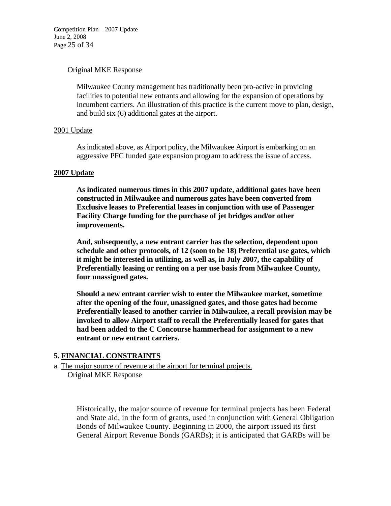Competition Plan – 2007 Update June 2, 2008 Page 25 of 34

### Original MKE Response

Milwaukee County management has traditionally been pro-active in providing facilities to potential new entrants and allowing for the expansion of operations by incumbent carriers. An illustration of this practice is the current move to plan, design, and build six (6) additional gates at the airport.

### 2001 Update

As indicated above, as Airport policy, the Milwaukee Airport is embarking on an aggressive PFC funded gate expansion program to address the issue of access.

### **2007 Update**

**As indicated numerous times in this 2007 update, additional gates have been constructed in Milwaukee and numerous gates have been converted from Exclusive leases to Preferential leases in conjunction with use of Passenger Facility Charge funding for the purchase of jet bridges and/or other improvements.** 

**And, subsequently, a new entrant carrier has the selection, dependent upon schedule and other protocols, of 12 (soon to be 18) Preferential use gates, which it might be interested in utilizing, as well as, in July 2007, the capability of Preferentially leasing or renting on a per use basis from Milwaukee County, four unassigned gates.** 

**Should a new entrant carrier wish to enter the Milwaukee market, sometime after the opening of the four, unassigned gates, and those gates had become Preferentially leased to another carrier in Milwaukee, a recall provision may be invoked to allow Airport staff to recall the Preferentially leased for gates that had been added to the C Concourse hammerhead for assignment to a new entrant or new entrant carriers.** 

# **5. FINANCIAL CONSTRAINTS**

a. The major source of revenue at the airport for terminal projects. Original MKE Response

> Historically, the major source of revenue for terminal projects has been Federal and State aid, in the form of grants, used in conjunction with General Obligation Bonds of Milwaukee County. Beginning in 2000, the airport issued its first General Airport Revenue Bonds (GARBs); it is anticipated that GARBs will be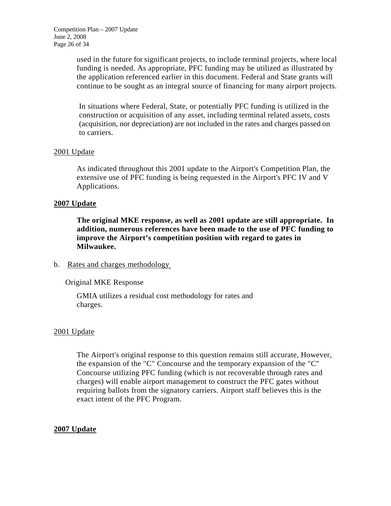used in the future for significant projects, to include terminal projects, where local funding is needed. As appropriate, PFC funding may be utilized as illustrated by the application referenced earlier in this document. Federal and State grants will continue to be sought as an integral source of financing for many airport projects.

In situations where Federal, State, or potentially PFC funding is utilized in the construction or acquisition of any asset, including terminal related assets, costs (acquisition, nor depreciation) are not included in the rates and charges passed on to carriers.

# 2001 Update

As indicated throughout this 2001 update to the Airport's Competition Plan, the extensive use of PFC funding is being requested in the Airport's PFC IV and V Applications.

# **2007 Update**

**The original MKE response, as well as 2001 update are still appropriate. In addition, numerous references have been made to the use of PFC funding to improve the Airport's competition position with regard to gates in Milwaukee.** 

# b. Rates and charges methodology,

# Original MKE Response

GMIA utilizes a residual cost methodology for rates and charges.

# 2001 Update

The Airport's original response to this question remains still accurate, However, the expansion of the "C" Concourse and the temporary expansion of the "C" Concourse utilizing PFC funding (which is not recoverable through rates and charges) will enable airport management to construct the PFC gates without requiring ballots from the signatory carriers. Airport staff believes this is the exact intent of the PFC Program.

# **2007 Update**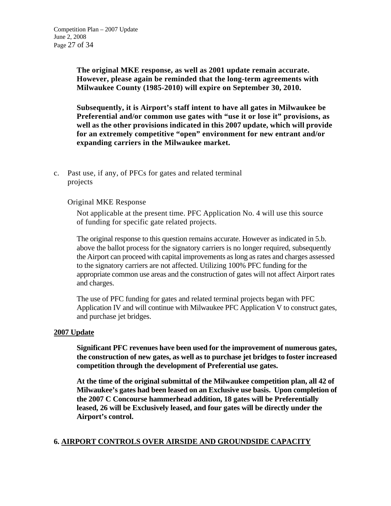**The original MKE response, as well as 2001 update remain accurate. However, please again be reminded that the long-term agreements with Milwaukee County (1985-2010) will expire on September 30, 2010.** 

**Subsequently, it is Airport's staff intent to have all gates in Milwaukee be Preferential and/or common use gates with "use it or lose it" provisions, as well as the other provisions indicated in this 2007 update, which will provide for an extremely competitive "open" environment for new entrant and/or expanding carriers in the Milwaukee market.** 

c. Past use*,* if any, of PFCs for gates and related terminal projects

# Original MKE Response

Not applicable at the present time. PFC Application No. 4 will use this source of funding for specific gate related projects.

The original response to this question remains accurate. However as indicated in 5.b. above the ballot process for the signatory carriers is no longer required, subsequently the Airport can proceed with capital improvements as long as rates and charges assessed to the signatory carriers are not affected. Utilizing 100% PFC funding for the appropriate common use areas and the construction of gates will not affect Airport rates and charges.

The use of PFC funding for gates and related terminal projects began with PFC Application IV and will continue with Milwaukee PFC Application V to construct gates, and purchase jet bridges.

#### **2007 Update**

**Significant PFC revenues have been used for the improvement of numerous gates, the construction of new gates, as well as to purchase jet bridges to foster increased competition through the development of Preferential use gates.** 

**At the time of the original submittal of the Milwaukee competition plan, all 42 of Milwaukee's gates had been leased on an Exclusive use basis. Upon completion of the 2007 C Concourse hammerhead addition, 18 gates will be Preferentially leased, 26 will be Exclusively leased, and four gates will be directly under the Airport's control.** 

# **6. AIRPORT CONTROLS OVER AIRSIDE AND GROUNDSIDE CAPACITY**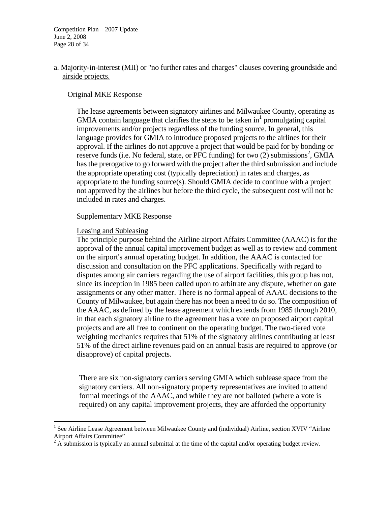Competition Plan – 2007 Update June 2, 2008 Page 28 of 34

# a. Majority-in-interest (MII) or "no further rates and charges" clauses covering groundside and airside projects.

### Original MKE Response

The lease agreements between signatory airlines and Milwaukee County, operating as GMIA contain language that clarifies the steps to be taken in $<sup>1</sup>$  promulgating capital</sup> improvements and/or projects regardless of the funding source. In general, this language provides for GMIA to introduce proposed projects to the airlines for their approval. If the airlines do not approve a project that would be paid for by bonding or reserve funds (i.e. No federal, state, or PFC funding) for two  $(2)$  submissions<sup>2</sup>, GMIA has the prerogative to go forward with the project after the third submission and include the appropriate operating cost (typically depreciation) in rates and charges, as appropriate to the funding source(s). Should GMIA decide to continue with a project not approved by the airlines but before the third cycle, the subsequent cost will not be included in rates and charges.

#### Supplementary MKE Response

### Leasing and Subleasing

<u>.</u>

The principle purpose behind the Airline airport Affairs Committee (AAAC) is for the approval of the annual capital improvement budget as well as to review and comment on the airport's annual operating budget. In addition, the AAAC is contacted for discussion and consultation on the PFC applications. Specifically with regard to disputes among air carriers regarding the use of airport facilities, this group has not, since its inception in 1985 been called upon to arbitrate any dispute, whether on gate assignments or any other matter. There is no formal appeal of AAAC decisions to the County of Milwaukee, but again there has not been a need to do so. The composition of the AAAC, as defined by the lease agreement which extends from 1985 through 2010, in that each signatory airline to the agreement has a vote on proposed airport capital projects and are all free to continent on the operating budget. The two-tiered vote weighting mechanics requires that 51% of the signatory airlines contributing at least 51% of the direct airline revenues paid on an annual basis are required to approve (or disapprove) of capital projects.

There are six non-signatory carriers serving GMIA which sublease space from the signatory carriers. All non-signatory property representatives are invited to attend formal meetings of the AAAC, and while they are not balloted (where a vote is required) on any capital improvement projects, they are afforded the opportunity

<sup>&</sup>lt;sup>1</sup> See Airline Lease Agreement between Milwaukee County and (individual) Airline, section XVIV "Airline Airport Affairs Committee"

 $2 \text{ A}$  submission is typically an annual submittal at the time of the capital and/or operating budget review.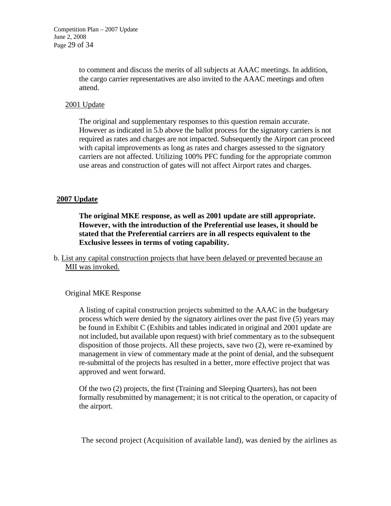to comment and discuss the merits of all subjects at AAAC meetings. In addition, the cargo carrier representatives are also invited to the AAAC meetings and often attend.

# 2001 Update

The original and supplementary responses to this question remain accurate. However as indicated in 5.b above the ballot process for the signatory carriers is not required as rates and charges are not impacted. Subsequently the Airport can proceed with capital improvements as long as rates and charges assessed to the signatory carriers are not affected. Utilizing 100% PFC funding for the appropriate common use areas and construction of gates will not affect Airport rates and charges.

# **2007 Update**

**The original MKE response, as well as 2001 update are still appropriate. However, with the introduction of the Preferential use leases, it should be stated that the Preferential carriers are in all respects equivalent to the Exclusive lessees in terms of voting capability.** 

b. List any capital construction projects that have been delayed or prevented because an MII was invoked.

# Original MKE Response

A listing of capital construction projects submitted to the AAAC in the budgetary process which were denied by the signatory airlines over the past five (5) years may be found in Exhibit C (Exhibits and tables indicated in original and 2001 update are not included, but available upon request) with brief commentary as to the subsequent disposition of those projects. All these projects, save two (2), were re-examined by management in view of commentary made at the point of denial, and the subsequent re-submittal of the projects has resulted in a better, more effective project that was approved and went forward.

Of the two (2) projects, the first (Training and Sleeping Quarters), has not been formally resubmitted by management; it is not critical to the operation, or capacity of the airport.

The second project (Acquisition of available land), was denied by the airlines as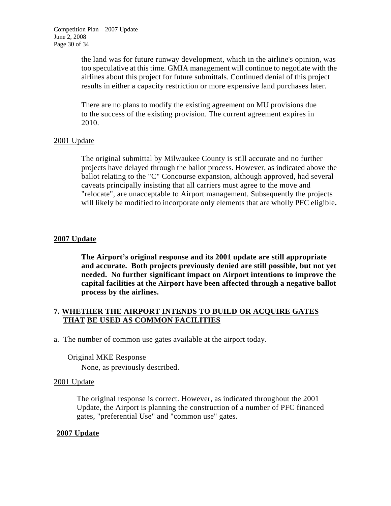the land was for future runway development, which in the airline's opinion, was too speculative at this time. GMIA management will continue to negotiate with the airlines about this project for future submittals. Continued denial of this project results in either a capacity restriction or more expensive land purchases later.

There are no plans to modify the existing agreement on MU provisions due to the success of the existing provision. The current agreement expires in 2010.

# 2001 Update

The original submittal by Milwaukee County is still accurate and no further projects have delayed through the ballot process. However, as indicated above the ballot relating to the "C" Concourse expansion, although approved, had several caveats principally insisting that all carriers must agree to the move and "relocate", are unacceptable to Airport management. Subsequently the projects will likely be modified to incorporate only elements that are wholly PFC eligible**.** 

# **2007 Update**

**The Airport's original response and its 2001 update are still appropriate and accurate. Both projects previously denied are still possible, but not yet needed. No further significant impact on Airport intentions to improve the capital facilities at the Airport have been affected through a negative ballot process by the airlines.** 

# **7. WHETHER THE AIRPORT INTENDS TO BUILD OR ACQUIRE GATES THAT BE USED AS COMMON FACILITIES**

a. The number of common use gates available at the airport today.

# Original MKE Response

None, as previously described.

# 2001 Update

The original response is correct. However, as indicated throughout the 2001 Update, the Airport is planning the construction of a number of PFC financed gates, "preferential Use" and "common use" gates.

# **2007 Update**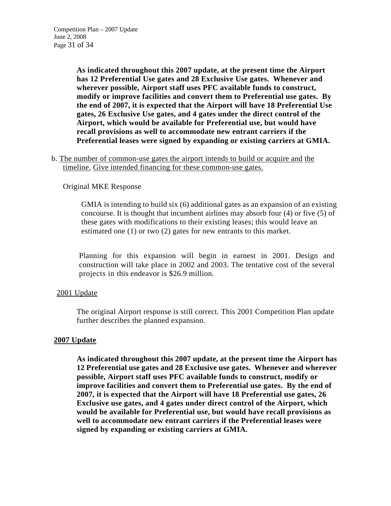**As indicated throughout this 2007 update, at the present time the Airport has 12 Preferential Use gates and 28 Exclusive Use gates. Whenever and wherever possible, Airport staff uses PFC available funds to construct, modify or improve facilities and convert them to Preferential use gates. By the end of 2007, it is expected that the Airport will have 18 Preferential Use gates, 26 Exclusive Use gates, and 4 gates under the direct control of the Airport, which would be available for Preferential use, but would have recall provisions as well to accommodate new entrant carriers if the Preferential leases were signed by expanding or existing carriers at GMIA.** 

b. The number of common-use gates the airport intends to build or acquire and the timeline. Give intended financing for these common-use gates.

# Original MKE Response

GMIA is intending to build six (6) additional gates as an expansion of an existing concourse. It is thought that incumbent airlines may absorb four (4) or five (5) of these gates with modifications to their existing leases; this would leave an estimated one (1) or two (2) gates for new entrants to this market.

Planning for this expansion will begin in earnest in 2001. Design and construction will take place in 2002 and 2003. The tentative cost of the several projects in this endeavor is \$26.9 million.

# 2001 Update

The original Airport response is still correct. This 2001 Competition Plan update further describes the planned expansion.

# **2007 Update**

**As indicated throughout this 2007 update, at the present time the Airport has 12 Preferential use gates and 28 Exclusive use gates. Whenever and wherever possible, Airport staff uses PFC available funds to construct, modify or improve facilities and convert them to Preferential use gates. By the end of 2007, it is expected that the Airport will have 18 Preferential use gates, 26 Exclusive use gates, and 4 gates under direct control of the Airport, which would be available for Preferential use, but would have recall provisions as well to accommodate new entrant carriers if the Preferential leases were signed by expanding or existing carriers at GMIA.**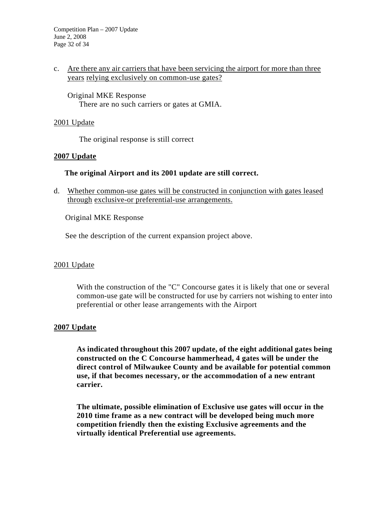# c. Are there any air carriers that have been servicing the airport for more than three years relying exclusively on common-use gates?

Original MKE Response There are no such carriers or gates at GMIA.

### 2001 Update

The original response is still correct

### **2007 Update**

# **The original Airport and its 2001 update are still correct.**

d. Whether common-use gates will be constructed in conjunction with gates leased through exclusive-or preferential-use arrangements.

Original MKE Response

See the description of the current expansion project above.

#### 2001 Update

With the construction of the "C" Concourse gates it is likely that one or several common-use gate will be constructed for use by carriers not wishing to enter into preferential or other lease arrangements with the Airport

#### **2007 Update**

**As indicated throughout this 2007 update, of the eight additional gates being constructed on the C Concourse hammerhead, 4 gates will be under the direct control of Milwaukee County and be available for potential common use, if that becomes necessary, or the accommodation of a new entrant carrier.** 

**The ultimate, possible elimination of Exclusive use gates will occur in the 2010 time frame as a new contract will be developed being much more competition friendly then the existing Exclusive agreements and the virtually identical Preferential use agreements.**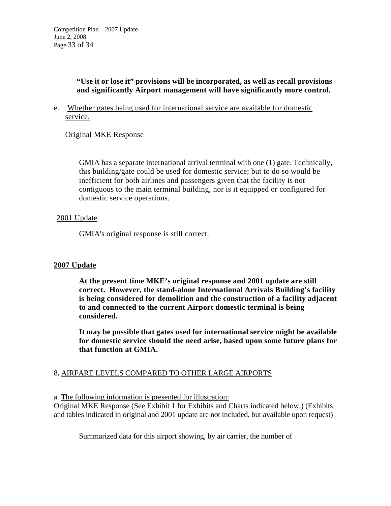# **"Use it or lose it" provisions will be incorporated, as well as recall provisions and significantly Airport management will have significantly more control.**

e. Whether gates being used for international service are available for domestic service.

Original MKE Response

GMIA has a separate international arrival terminal with one (1) gate. Technically, this building/gate could be used for domestic service; but to do so would be inefficient for both airlines and passengers given that the facility is not contiguous to the main terminal building, nor is it equipped or configured for domestic service operations.

# 2001 Update

GMIA's original response is still correct.

# **2007 Update**

**At the present time MKE's original response and 2001 update are still correct. However, the stand-alone International Arrivals Building's facility is being considered for demolition and the construction of a facility adjacent to and connected to the current Airport domestic terminal is being considered.** 

**It may be possible that gates used for international service might be available for domestic service should the need arise, based upon some future plans for that function at GMIA.** 

# 8**.** AIRFARE LEVELS COMPARED TO OTHER LARGE AIRPORTS

a. The following information is presented for illustration:

Original MKE Response (See Exhibit 1 for Exhibits and Charts indicated below.) (Exhibits and tables indicated in original and 2001 update are not included, but available upon request)

Summarized data for this airport showing, by air carrier, the number of